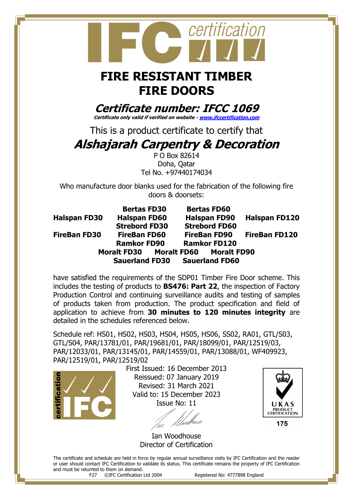## certification

## **FIRE RESISTANT TIMBER FIRE DOORS**

**Certificate number: IFCC 1069 Certificate only valid if verified on website - [www.ifccertification.com](http://www.ifccertification.com/)**

This is a product certificate to certify that

## **Alshajarah Carpentry & Decoration**

P O Box 82614 Doha, Qatar Tel No. +97440174034

Who manufacture door blanks used for the fabrication of the following fire doors & doorsets:

|                     | <b>Bertas FD30</b>                  | <b>Bertas FD60</b>    |                      |
|---------------------|-------------------------------------|-----------------------|----------------------|
| <b>Halspan FD30</b> | <b>Halspan FD60</b>                 | <b>Halspan FD90</b>   | <b>Halspan FD120</b> |
|                     | <b>Strebord FD30</b>                | <b>Strebord FD60</b>  |                      |
| <b>FireBan FD30</b> | <b>FireBan FD60</b>                 | <b>FireBan FD90</b>   | <b>FireBan FD120</b> |
|                     | <b>Ramkor FD90</b>                  | <b>Ramkor FD120</b>   |                      |
|                     | Moralt FD30 Moralt FD60 Moralt FD90 |                       |                      |
|                     | <b>Sauerland FD30</b>               | <b>Sauerland FD60</b> |                      |

have satisfied the requirements of the SDP01 Timber Fire Door scheme. This includes the testing of products to **BS476: Part 22**, the inspection of Factory Production Control and continuing surveillance audits and testing of samples of products taken from production. The product specification and field of application to achieve from **30 minutes to 120 minutes integrity** are detailed in the schedules referenced below.

Schedule ref: HS01, HS02, HS03, HS04, HS05, HS06, SS02, RA01, GTL/S03, GTL/S04, PAR/13781/01, PAR/19681/01, PAR/18099/01, PAR/12519/03, PAR/12033/01, PAR/13145/01, PAR/14559/01, PAR/13088/01, WF409923, PAR/12519/01, PAR/12519/02



 First Issued: 16 December 2013 Reissued: 07 January 2019 Revised: 31 March 2021 Valid to: 15 December 2023 Issue No: 11

Ian Woodhouse Director of Certification

The certificate and schedule are held in force by regular annual surveillance visits by IFC Certification and the reader or user should contact IFC Certification to validate its status. This certificate remains the property of IFC Certification and must be returned to them on demand.

F27 ©IFC Certification Ltd 2004 Registered No: 4777898 England

UKAS PRODUCT<br>CERTIFICATION 175